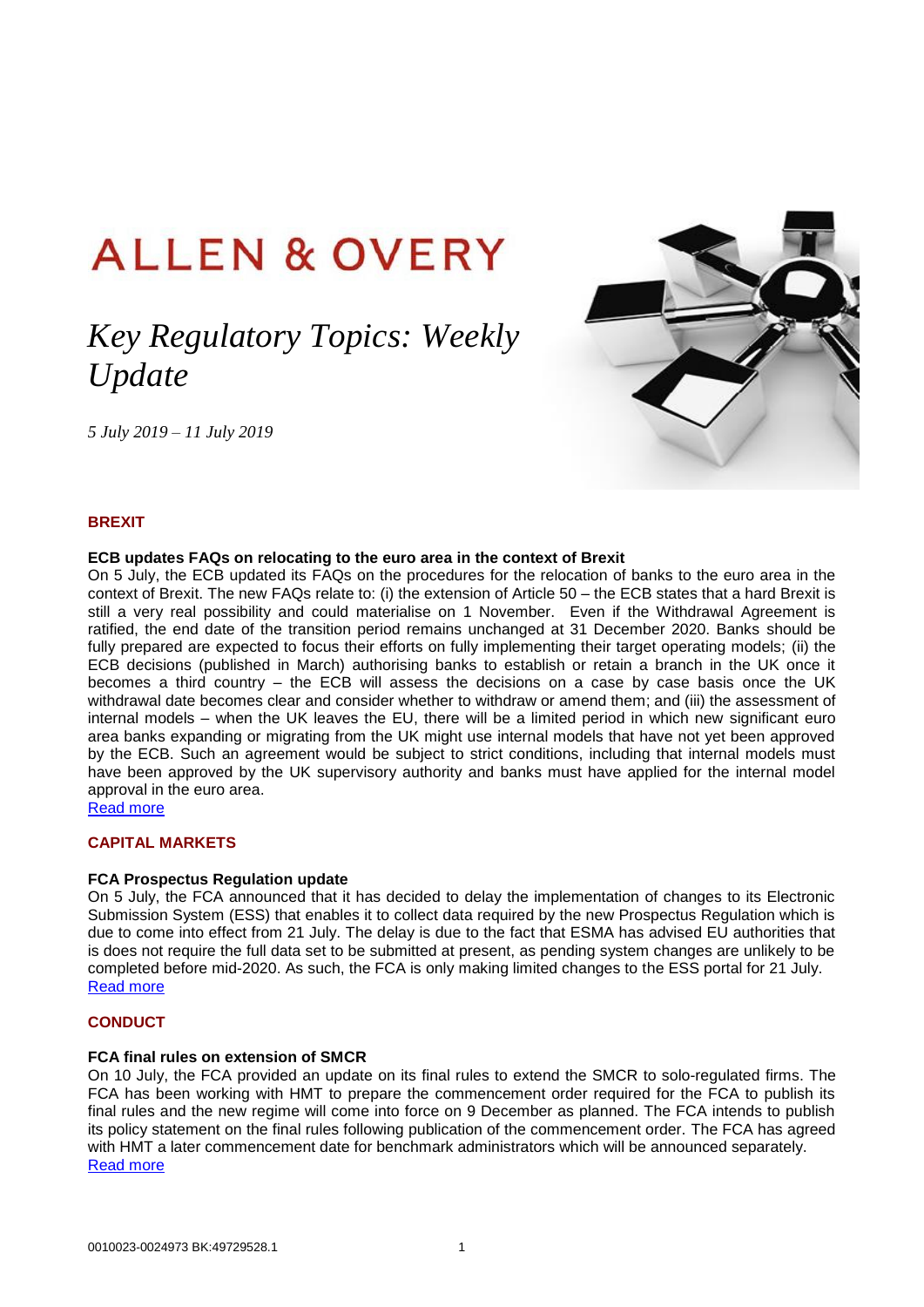# **ALLEN & OVERY**

# *Key Regulatory Topics: Weekly Update*

*5 July 2019 – 11 July 2019*



# **BREXIT**

#### **ECB updates FAQs on relocating to the euro area in the context of Brexit**

On 5 July, the ECB updated its FAQs on the procedures for the relocation of banks to the euro area in the context of Brexit. The new FAQs relate to: (i) the extension of Article 50 – the ECB states that a hard Brexit is still a very real possibility and could materialise on 1 November. Even if the Withdrawal Agreement is ratified, the end date of the transition period remains unchanged at 31 December 2020. Banks should be fully prepared are expected to focus their efforts on fully implementing their target operating models; (ii) the ECB decisions (published in March) authorising banks to establish or retain a branch in the UK once it becomes a third country – the ECB will assess the decisions on a case by case basis once the UK withdrawal date becomes clear and consider whether to withdraw or amend them; and (iii) the assessment of internal models – when the UK leaves the EU, there will be a limited period in which new significant euro area banks expanding or migrating from the UK might use internal models that have not yet been approved by the ECB. Such an agreement would be subject to strict conditions, including that internal models must have been approved by the UK supervisory authority and banks must have applied for the internal model approval in the euro area.

[Read more](https://www.bankingsupervision.europa.eu/banking/relocating/html/index.en.html)

# **CAPITAL MARKETS**

#### **FCA Prospectus Regulation update**

On 5 July, the FCA announced that it has decided to delay the implementation of changes to its Electronic Submission System (ESS) that enables it to collect data required by the new Prospectus Regulation which is due to come into effect from 21 July. The delay is due to the fact that ESMA has advised EU authorities that is does not require the full data set to be submitted at present, as pending system changes are unlikely to be completed before mid-2020. As such, the FCA is only making limited changes to the ESS portal for 21 July. [Read more](https://www.fca.org.uk/markets/ukla/submit-prospectus-circular)

# **CONDUCT**

#### **FCA final rules on extension of SMCR**

On 10 July, the FCA provided an update on its final rules to extend the SMCR to solo-regulated firms. The FCA has been working with HMT to prepare the commencement order required for the FCA to publish its final rules and the new regime will come into force on 9 December as planned. The FCA intends to publish its policy statement on the final rules following publication of the commencement order. The FCA has agreed with HMT a later commencement date for benchmark administrators which will be announced separately. [Read more](https://www.fca.org.uk/news/statements/senior-managers-and-certification-regime-finalising-fca-rules)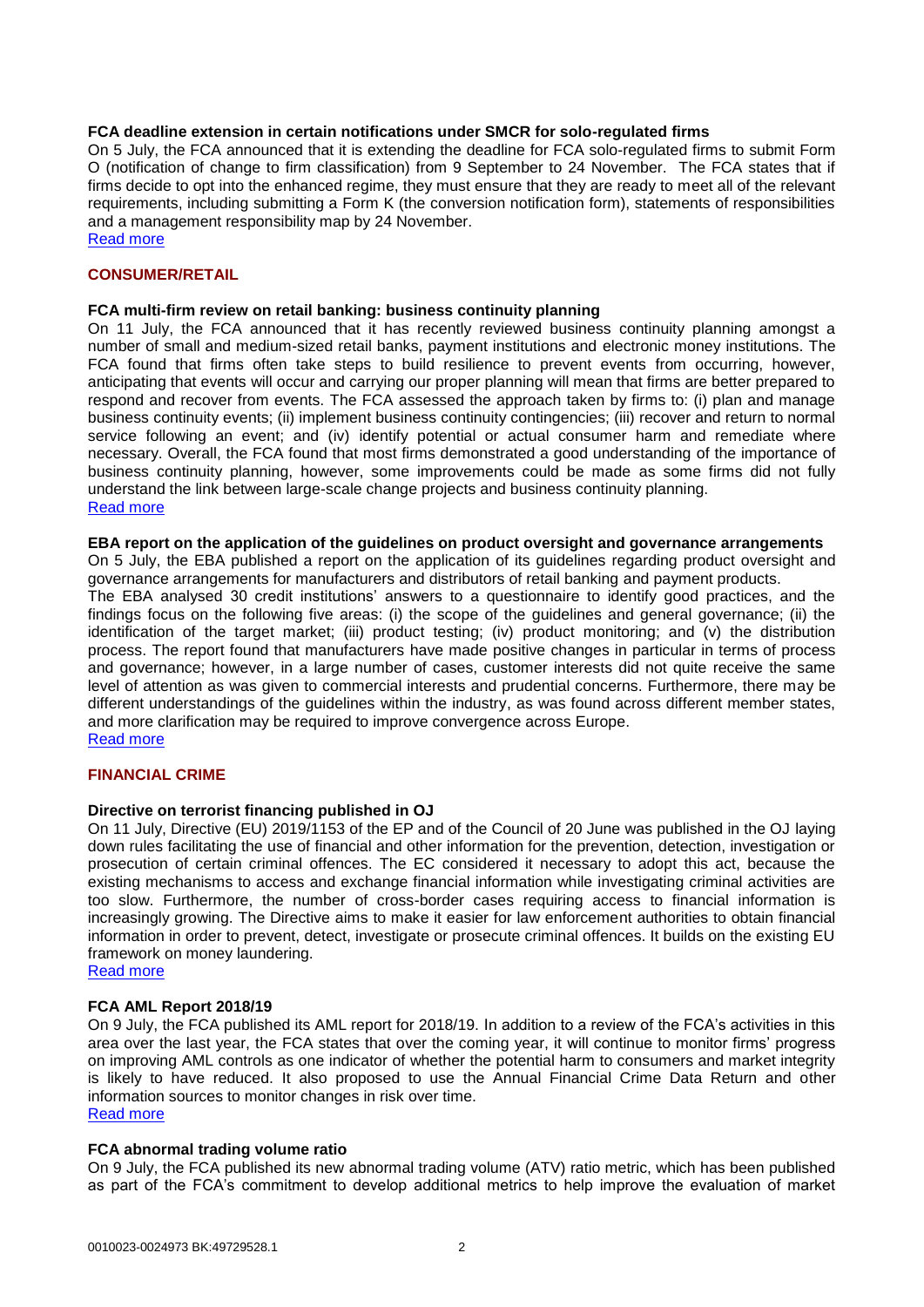#### **FCA deadline extension in certain notifications under SMCR for solo-regulated firms**

On 5 July, the FCA announced that it is extending the deadline for FCA solo-regulated firms to submit Form O (notification of change to firm classification) from 9 September to 24 November. The FCA states that if firms decide to opt into the enhanced regime, they must ensure that they are ready to meet all of the relevant requirements, including submitting a Form K (the conversion notification form), statements of responsibilities and a management responsibility map by 24 November. [Read more](https://www.fca.org.uk/firms/senior-managers-certification-regime/solo-regulated-firms)

**CONSUMER/RETAIL**

#### **FCA multi-firm review on retail banking: business continuity planning**

On 11 July, the FCA announced that it has recently reviewed business continuity planning amongst a number of small and medium-sized retail banks, payment institutions and electronic money institutions. The FCA found that firms often take steps to build resilience to prevent events from occurring, however, anticipating that events will occur and carrying our proper planning will mean that firms are better prepared to respond and recover from events. The FCA assessed the approach taken by firms to: (i) plan and manage business continuity events; (ii) implement business continuity contingencies; (iii) recover and return to normal service following an event; and (iv) identify potential or actual consumer harm and remediate where necessary. Overall, the FCA found that most firms demonstrated a good understanding of the importance of business continuity planning, however, some improvements could be made as some firms did not fully understand the link between large-scale change projects and business continuity planning. [Read more](https://www.fca.org.uk/publications/multi-firm-reviews/retail-banking-business-continuity-planning)

#### **EBA report on the application of the guidelines on product oversight and governance arrangements**

On 5 July, the EBA published a report on the application of its guidelines regarding product oversight and governance arrangements for manufacturers and distributors of retail banking and payment products.

The EBA analysed 30 credit institutions' answers to a questionnaire to identify good practices, and the findings focus on the following five areas: (i) the scope of the guidelines and general governance; (ii) the identification of the target market; (iii) product testing; (iv) product monitoring; and (v) the distribution process. The report found that manufacturers have made positive changes in particular in terms of process and governance; however, in a large number of cases, customer interests did not quite receive the same level of attention as was given to commercial interests and prudential concerns. Furthermore, there may be different understandings of the guidelines within the industry, as was found across different member states, and more clarification may be required to improve convergence across Europe.

[Read more](https://eba.europa.eu/documents/10180/2855746/EBA+Report+on+the+application+of+the+guidelines+on+POG+arrangements.pdf)

#### **FINANCIAL CRIME**

#### **Directive on terrorist financing published in OJ**

On 11 July, Directive (EU) 2019/1153 of the EP and of the Council of 20 June was published in the OJ laying down rules facilitating the use of financial and other information for the prevention, detection, investigation or prosecution of certain criminal offences. The EC considered it necessary to adopt this act, because the existing mechanisms to access and exchange financial information while investigating criminal activities are too slow. Furthermore, the number of cross-border cases requiring access to financial information is increasingly growing. The Directive aims to make it easier for law enforcement authorities to obtain financial information in order to prevent, detect, investigate or prosecute criminal offences. It builds on the existing EU framework on money laundering.

[Read more](https://eur-lex.europa.eu/legal-content/EN/TXT/?uri=uriserv:OJ.L_.2019.186.01.0122.01.ENG&toc=OJ:L:2019:186:TOC)

#### **FCA AML Report 2018/19**

On 9 July, the FCA published its AML report for 2018/19. In addition to a review of the FCA's activities in this area over the last year, the FCA states that over the coming year, it will continue to monitor firms' progress on improving AML controls as one indicator of whether the potential harm to consumers and market integrity is likely to have reduced. It also proposed to use the Annual Financial Crime Data Return and other information sources to monitor changes in risk over time. [Read more](https://www.fca.org.uk/publication/corporate/annual-report-2018-19-anti-money-laundering.pdf)

#### **FCA abnormal trading volume ratio**

On 9 July, the FCA published its new abnormal trading volume (ATV) ratio metric, which has been published as part of the FCA's commitment to develop additional metrics to help improve the evaluation of market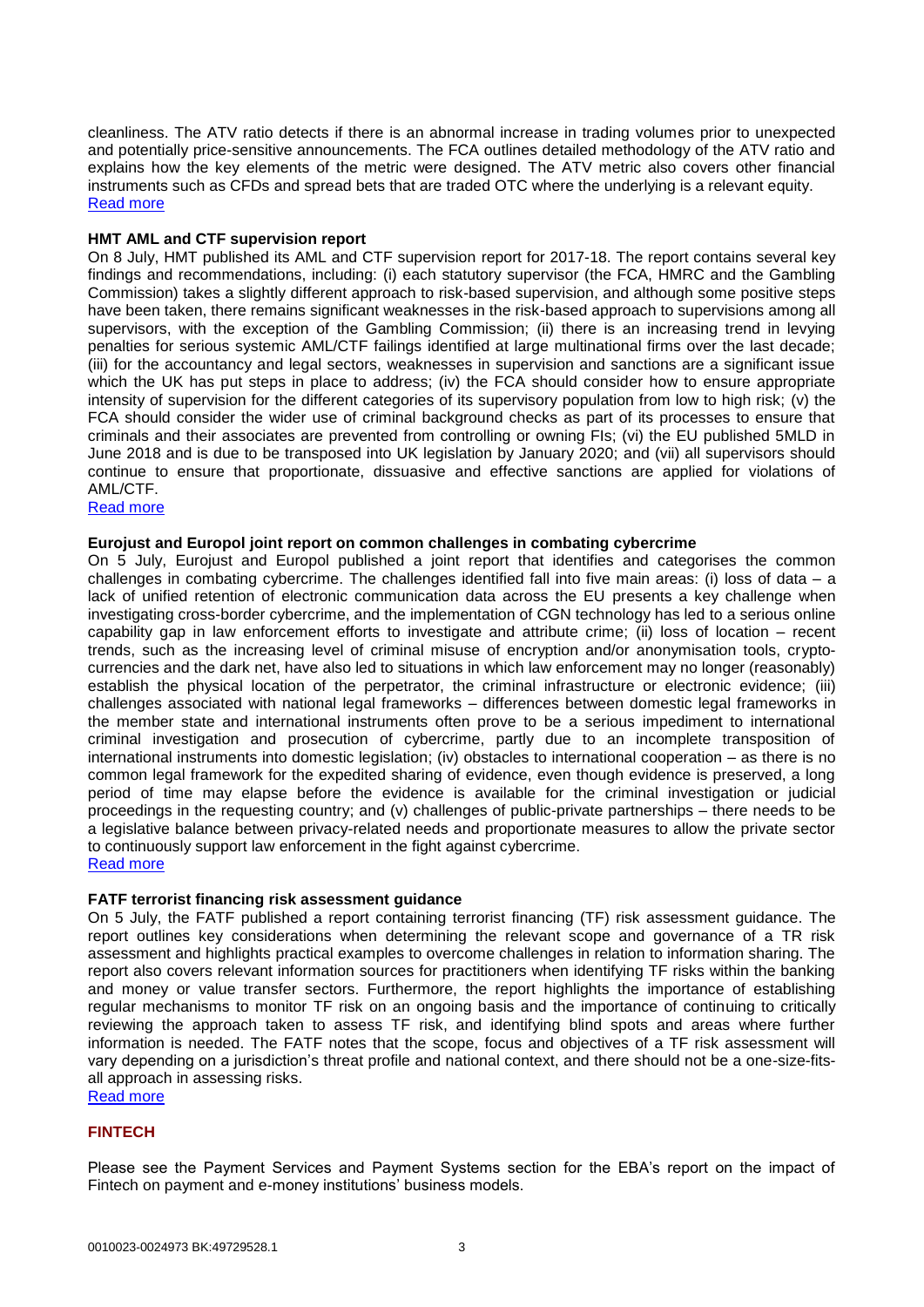cleanliness. The ATV ratio detects if there is an abnormal increase in trading volumes prior to unexpected and potentially price-sensitive announcements. The FCA outlines detailed methodology of the ATV ratio and explains how the key elements of the metric were designed. The ATV metric also covers other financial instruments such as CFDs and spread bets that are traded OTC where the underlying is a relevant equity. [Read more](https://www.fca.org.uk/data/measuring-market-cleanliness)

### **HMT AML and CTF supervision report**

On 8 July, HMT published its AML and CTF supervision report for 2017-18. The report contains several key findings and recommendations, including: (i) each statutory supervisor (the FCA, HMRC and the Gambling Commission) takes a slightly different approach to risk-based supervision, and although some positive steps have been taken, there remains significant weaknesses in the risk-based approach to supervisions among all supervisors, with the exception of the Gambling Commission; (ii) there is an increasing trend in levying penalties for serious systemic AML/CTF failings identified at large multinational firms over the last decade; (iii) for the accountancy and legal sectors, weaknesses in supervision and sanctions are a significant issue which the UK has put steps in place to address; (iv) the FCA should consider how to ensure appropriate intensity of supervision for the different categories of its supervisory population from low to high risk; (v) the FCA should consider the wider use of criminal background checks as part of its processes to ensure that criminals and their associates are prevented from controlling or owning FIs; (vi) the EU published 5MLD in June 2018 and is due to be transposed into UK legislation by January 2020; and (vii) all supervisors should continue to ensure that proportionate, dissuasive and effective sanctions are applied for violations of AML/CTF.

# [Read more](https://assets.publishing.service.gov.uk/government/uploads/system/uploads/attachment_data/file/815240/AML_supervision_report_2017-2018.pdf)

#### **Eurojust and Europol joint report on common challenges in combating cybercrime**

On 5 July, Eurojust and Europol published a joint report that identifies and categorises the common challenges in combating cybercrime. The challenges identified fall into five main areas: (i) loss of data – a lack of unified retention of electronic communication data across the EU presents a key challenge when investigating cross-border cybercrime, and the implementation of CGN technology has led to a serious online capability gap in law enforcement efforts to investigate and attribute crime; (ii) loss of location – recent trends, such as the increasing level of criminal misuse of encryption and/or anonymisation tools, cryptocurrencies and the dark net, have also led to situations in which law enforcement may no longer (reasonably) establish the physical location of the perpetrator, the criminal infrastructure or electronic evidence; (iii) challenges associated with national legal frameworks – differences between domestic legal frameworks in the member state and international instruments often prove to be a serious impediment to international criminal investigation and prosecution of cybercrime, partly due to an incomplete transposition of international instruments into domestic legislation; (iv) obstacles to international cooperation – as there is no common legal framework for the expedited sharing of evidence, even though evidence is preserved, a long period of time may elapse before the evidence is available for the criminal investigation or judicial proceedings in the requesting country; and (v) challenges of public-private partnerships – there needs to be a legislative balance between privacy-related needs and proportionate measures to allow the private sector to continuously support law enforcement in the fight against cybercrime. [Read more](http://www.eurojust.europa.eu/doclibrary/Eurojust-framework/Casework/Joint%20report%20of%20Eurojust%20and%20Europol%20on%20Common%20challenges%20in%20combating%20cybercrime%20%28June%202019%29/2019-06_Joint-Eurojust-Europol-report_Common-challenges-in-combating-cybercrime_EN.PDF)

#### **FATF terrorist financing risk assessment guidance**

On 5 July, the FATF published a report containing terrorist financing (TF) risk assessment guidance. The report outlines key considerations when determining the relevant scope and governance of a TR risk assessment and highlights practical examples to overcome challenges in relation to information sharing. The report also covers relevant information sources for practitioners when identifying TF risks within the banking and money or value transfer sectors. Furthermore, the report highlights the importance of establishing regular mechanisms to monitor TF risk on an ongoing basis and the importance of continuing to critically reviewing the approach taken to assess TF risk, and identifying blind spots and areas where further information is needed. The FATF notes that the scope, focus and objectives of a TF risk assessment will vary depending on a jurisdiction's threat profile and national context, and there should not be a one-size-fitsall approach in assessing risks.

[Read more](http://www.fatf-gafi.org/media/fatf/documents/reports/Terrorist-Financing-Risk-Assessment-Guidance.pdf)

#### **FINTECH**

Please see the Payment Services and Payment Systems section for the EBA's report on the impact of Fintech on payment and e-money institutions' business models.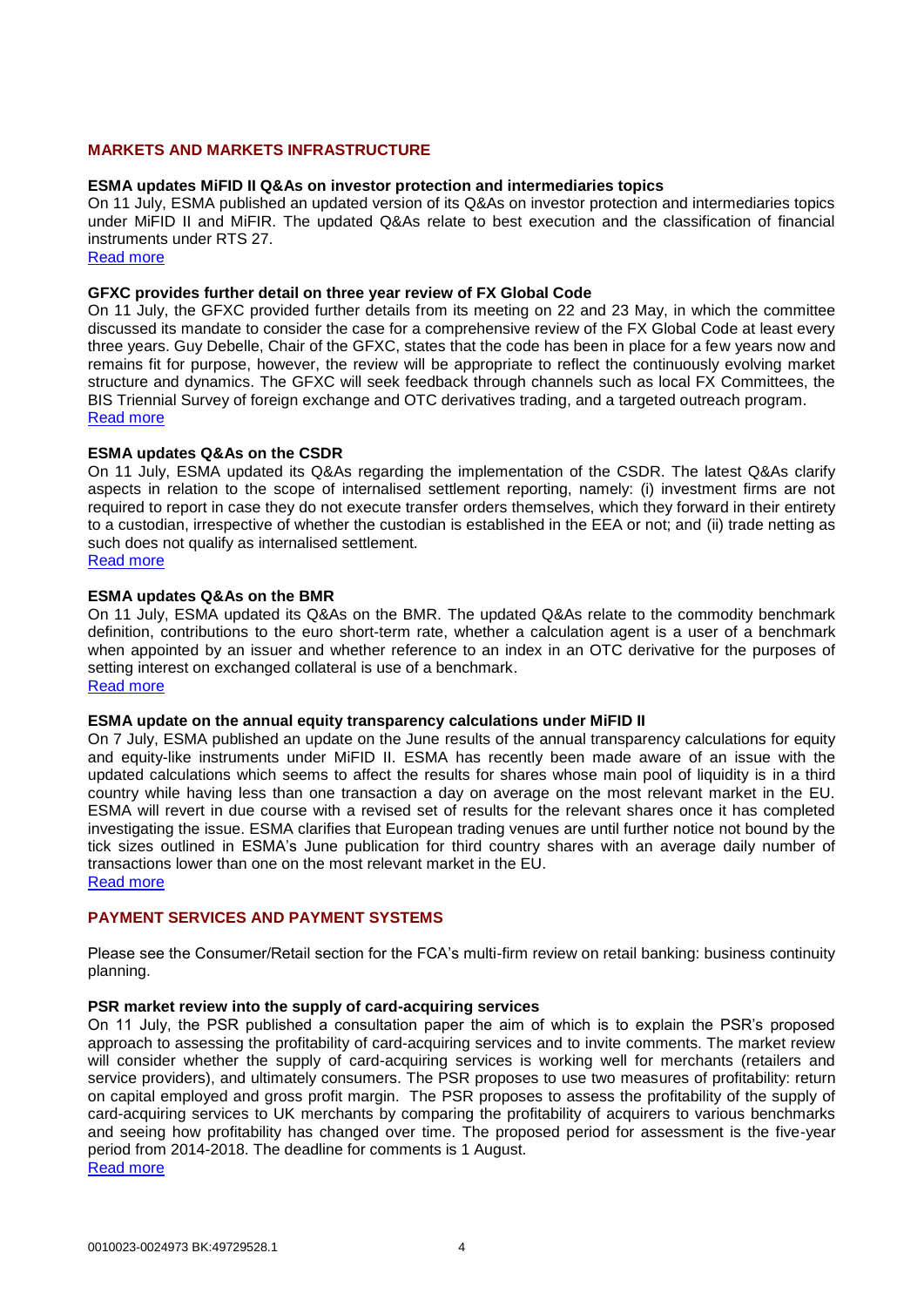# **MARKETS AND MARKETS INFRASTRUCTURE**

#### **ESMA updates MiFID II Q&As on investor protection and intermediaries topics**

On 11 July, ESMA published an updated version of its Q&As on investor protection and intermediaries topics under MiFID II and MiFIR. The updated Q&As relate to best execution and the classification of financial instruments under RTS 27.

[Read more](https://www.esma.europa.eu/sites/default/files/library/esma35-43-349_mifid_ii_qas_on_investor_protection_topics.pdf)

#### **GFXC provides further detail on three year review of FX Global Code**

On 11 July, the GFXC provided further details from its meeting on 22 and 23 May, in which the committee discussed its mandate to consider the case for a comprehensive review of the FX Global Code at least every three years. Guy Debelle, Chair of the GFXC, states that the code has been in place for a few years now and remains fit for purpose, however, the review will be appropriate to reflect the continuously evolving market structure and dynamics. The GFXC will seek feedback through channels such as local FX Committees, the BIS Triennial Survey of foreign exchange and OTC derivatives trading, and a targeted outreach program. [Read more](https://www.globalfxc.org/press/p190710.htm)

#### **ESMA updates Q&As on the CSDR**

On 11 July, ESMA updated its Q&As regarding the implementation of the CSDR. The latest Q&As clarify aspects in relation to the scope of internalised settlement reporting, namely: (i) investment firms are not required to report in case they do not execute transfer orders themselves, which they forward in their entirety to a custodian, irrespective of whether the custodian is established in the EEA or not; and (ii) trade netting as such does not qualify as internalised settlement.

[Read more](https://www.esma.europa.eu/sites/default/files/library/esma70-708036281-2_csdr_qas.pdf)

#### **ESMA updates Q&As on the BMR**

On 11 July, ESMA updated its Q&As on the BMR. The updated Q&As relate to the commodity benchmark definition, contributions to the euro short-term rate, whether a calculation agent is a user of a benchmark when appointed by an issuer and whether reference to an index in an OTC derivative for the purposes of setting interest on exchanged collateral is use of a benchmark. [Read more](file://///omnia.aoglobal.com/Europe/LN/Home1/BoydCl/My%20Documents/Downloads/esma70-145-114_qas_on_bmr.pdf)

#### **ESMA update on the annual equity transparency calculations under MiFID II**

On 7 July, ESMA published an update on the June results of the annual transparency calculations for equity and equity-like instruments under MiFID II. ESMA has recently been made aware of an issue with the updated calculations which seems to affect the results for shares whose main pool of liquidity is in a third country while having less than one transaction a day on average on the most relevant market in the EU. ESMA will revert in due course with a revised set of results for the relevant shares once it has completed investigating the issue. ESMA clarifies that European trading venues are until further notice not bound by the tick sizes outlined in ESMA's June publication for third country shares with an average daily number of transactions lower than one on the most relevant market in the EU.

[Read more](https://www.esma.europa.eu/press-news/esma-news/update-annual-equity-transparency-calculations-%E2%80%93-application-tick-size-regime)

# **PAYMENT SERVICES AND PAYMENT SYSTEMS**

Please see the Consumer/Retail section for the FCA's multi-firm review on retail banking: business continuity planning.

#### **PSR market review into the supply of card-acquiring services**

On 11 July, the PSR published a consultation paper the aim of which is to explain the PSR's proposed approach to assessing the profitability of card-acquiring services and to invite comments. The market review will consider whether the supply of card-acquiring services is working well for merchants (retailers and service providers), and ultimately consumers. The PSR proposes to use two measures of profitability: return on capital employed and gross profit margin. The PSR proposes to assess the profitability of the supply of card-acquiring services to UK merchants by comparing the profitability of acquirers to various benchmarks and seeing how profitability has changed over time. The proposed period for assessment is the five-year period from 2014-2018. The deadline for comments is 1 August. [Read more](https://www.psr.org.uk/sites/default/files/media/PDF/PSR_MR18_1_6_Profitability_analysis_consultation_July_2019.pdf)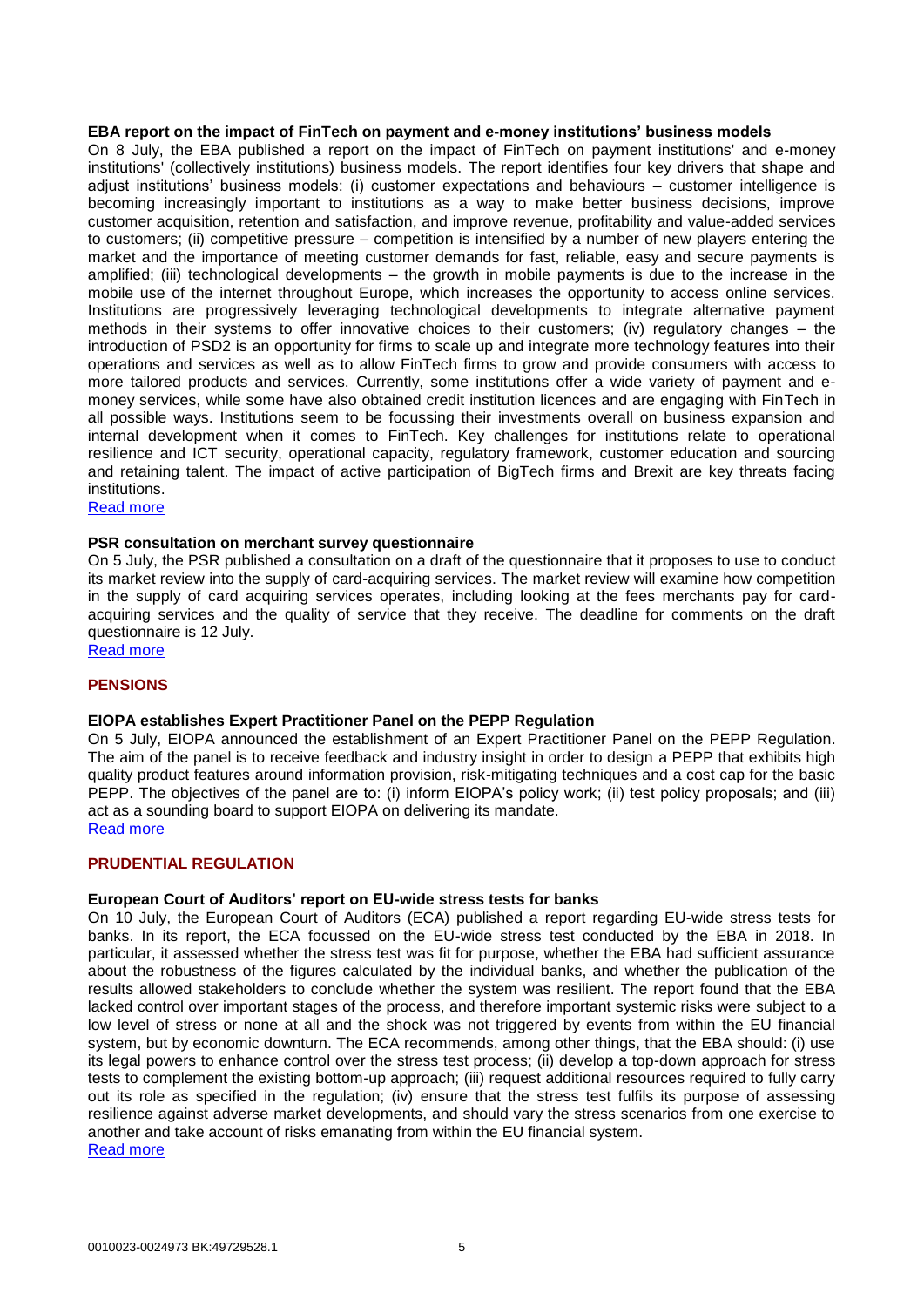#### **EBA report on the impact of FinTech on payment and e-money institutions' business models**

On 8 July, the EBA published a report on the impact of FinTech on payment institutions' and e-money institutions' (collectively institutions) business models. The report identifies four key drivers that shape and adjust institutions' business models: (i) customer expectations and behaviours – customer intelligence is becoming increasingly important to institutions as a way to make better business decisions, improve customer acquisition, retention and satisfaction, and improve revenue, profitability and value-added services to customers; (ii) competitive pressure – competition is intensified by a number of new players entering the market and the importance of meeting customer demands for fast, reliable, easy and secure payments is amplified; (iii) technological developments – the growth in mobile payments is due to the increase in the mobile use of the internet throughout Europe, which increases the opportunity to access online services. Institutions are progressively leveraging technological developments to integrate alternative payment methods in their systems to offer innovative choices to their customers; (iv) regulatory changes – the introduction of PSD2 is an opportunity for firms to scale up and integrate more technology features into their operations and services as well as to allow FinTech firms to grow and provide consumers with access to more tailored products and services. Currently, some institutions offer a wide variety of payment and emoney services, while some have also obtained credit institution licences and are engaging with FinTech in all possible ways. Institutions seem to be focussing their investments overall on business expansion and internal development when it comes to FinTech. Key challenges for institutions relate to operational resilience and ICT security, operational capacity, regulatory framework, customer education and sourcing and retaining talent. The impact of active participation of BigTech firms and Brexit are key threats facing institutions.

[Read more](https://eba.europa.eu/documents/10180/2551996/EBA+thematic+report+on+the+impact+of+FinTech+on+PIs%27%20and+EMIs%27%20business+models.pdf)

#### **PSR consultation on merchant survey questionnaire**

On 5 July, the PSR published a consultation on a draft of the questionnaire that it proposes to use to conduct its market review into the supply of card-acquiring services. The market review will examine how competition in the supply of card acquiring services operates, including looking at the fees merchants pay for cardacquiring services and the quality of service that they receive. The deadline for comments on the draft questionnaire is 12 July.

[Read more](https://www.psr.org.uk/psr-publications/market-reviews/mr181.5/consultation-merchant-survey-questionnaire)

#### **PENSIONS**

#### **EIOPA establishes Expert Practitioner Panel on the PEPP Regulation**

On 5 July, EIOPA announced the establishment of an Expert Practitioner Panel on the PEPP Regulation. The aim of the panel is to receive feedback and industry insight in order to design a PEPP that exhibits high quality product features around information provision, risk-mitigating techniques and a cost cap for the basic PEPP. The objectives of the panel are to: (i) inform EIOPA's policy work; (ii) test policy proposals; and (iii) act as a sounding board to support EIOPA on delivering its mandate. [Read more](https://eiopa.europa.eu/Pages/News/EIOPA-establishes-Expert-Practitioner-Panel-on-the-Pan-European-Personal-Pension-Product-(PEPP).aspx)

#### **PRUDENTIAL REGULATION**

#### **European Court of Auditors' report on EU-wide stress tests for banks**

On 10 July, the European Court of Auditors (ECA) published a report regarding EU-wide stress tests for banks. In its report, the ECA focussed on the EU-wide stress test conducted by the EBA in 2018. In particular, it assessed whether the stress test was fit for purpose, whether the EBA had sufficient assurance about the robustness of the figures calculated by the individual banks, and whether the publication of the results allowed stakeholders to conclude whether the system was resilient. The report found that the EBA lacked control over important stages of the process, and therefore important systemic risks were subject to a low level of stress or none at all and the shock was not triggered by events from within the EU financial system, but by economic downturn. The ECA recommends, among other things, that the EBA should: (i) use its legal powers to enhance control over the stress test process; (ii) develop a top-down approach for stress tests to complement the existing bottom-up approach; (iii) request additional resources required to fully carry out its role as specified in the regulation; (iv) ensure that the stress test fulfils its purpose of assessing resilience against adverse market developments, and should vary the stress scenarios from one exercise to another and take account of risks emanating from within the EU financial system.

[Read more](https://www.eca.europa.eu/Lists/ECADocuments/SR19_10/SR_EBA_STRESS_TEST_EN.pdf)